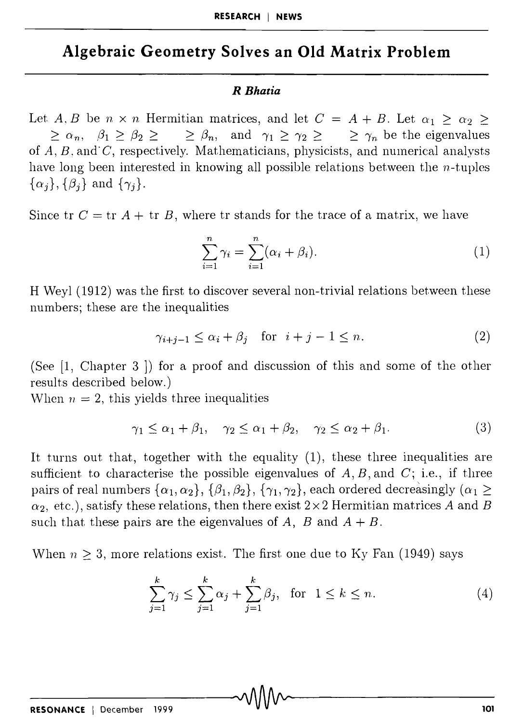## **Algebraic Geometry Solves an Old Matrix Problem**

## *R Bhatia*

Let *A*, *B* be  $n \times n$  Hermitian matrices, and let  $C = A + B$ . Let  $\alpha_1 \geq \alpha_2 \geq$  $\geq \alpha_n, \quad \beta_1 \geq \beta_2 \geq \geq \beta_n, \quad \text{and} \quad \gamma_1 \geq \gamma_2 \geq \geq \gamma_n \text{ be the eigenvalues.}$ of *A*, *B*, and *C*, respectively. Mathematicians, physicists, and numerical analysts have long been interested in knowing all possible relations between the n-tuples  $\{\alpha_j\}, \{\beta_j\}$  and  $\{\gamma_j\}.$ 

Since tr  $C = \text{tr } A + \text{tr } B$ , where tr stands for the trace of a matrix, we have

$$
\sum_{i=1}^{n} \gamma_i = \sum_{i=1}^{n} (\alpha_i + \beta_i).
$$
 (1)

H Weyl (1912) was the first to discover several non-trivial relations between these numbers; these are the inequalities

$$
\gamma_{i+j-1} \le \alpha_i + \beta_j \quad \text{for} \quad i+j-1 \le n. \tag{2}
$$

(See  $[1,$  Chapter 3  $]$ ) for a proof and discussion of this and some of the other results described below.)

When  $n = 2$ , this yields three inequalities

$$
\gamma_1 \le \alpha_1 + \beta_1, \quad \gamma_2 \le \alpha_1 + \beta_2, \quad \gamma_2 \le \alpha_2 + \beta_1. \tag{3}
$$

It turns out that, together with the equality (1), these three inequalities are sufficient to characterise the possible eigenvalues of  $A, B$ , and  $C$ ; i.e., if three pairs of real numbers  $\{\alpha_1, \alpha_2\}, \{\beta_1, \beta_2\}, \{\gamma_1, \gamma_2\}$ , each ordered decreasingly  $(\alpha_1 \geq$  $\alpha_2$ , etc.), satisfy these relations, then there exist  $2 \times 2$  Hermitian matrices *A* and *B* such that these pairs are the eigenvalues of  $A$ ,  $B$  and  $A + B$ .

When  $n \geq 3$ , more relations exist. The first one due to Ky Fan (1949) says

$$
\sum_{j=1}^{k} \gamma_j \le \sum_{j=1}^{k} \alpha_j + \sum_{j=1}^{k} \beta_j, \text{ for } 1 \le k \le n.
$$
 (4)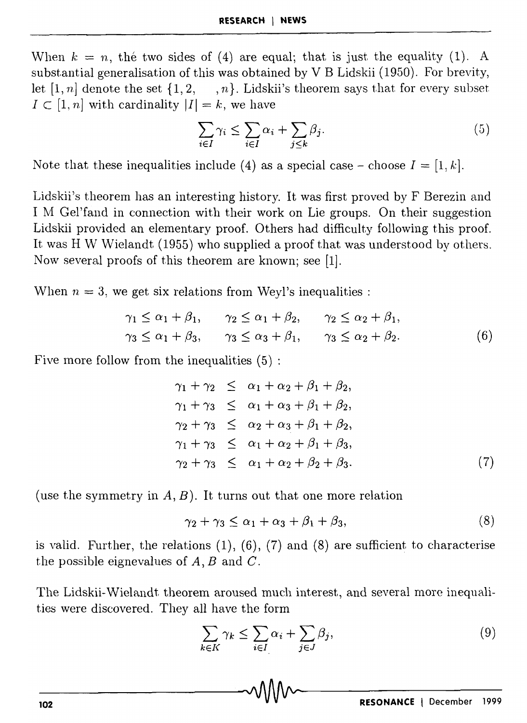When  $k = n$ , the two sides of (4) are equal; that is just the equality (1). A substantial generalisation of this was obtained by V B Lidskii (1950). For brevity, let [1, n] denote the set  $\{1, 2, \dots, n\}$ . Lidskii's theorem says that for every subset  $I \subset [1, n]$  with cardinality  $|I| = k$ , we have

$$
\sum_{i \in I} \gamma_i \le \sum_{i \in I} \alpha_i + \sum_{j \le k} \beta_j. \tag{5}
$$

Note that these inequalities include (4) as a special case – choose  $I = [1, k]$ .

Lidskii's theorem has an interesting history. It was first proved by F Berezin and I M Gel'fand in connection with their work on Lie groups. On their suggestion Lidskii provided an elementary proof. Others had difficulty following this proof. It was H W Wielandt (1955) who supplied a proof that was understood by others. Now several proofs of this theorem are known; see [1].

When  $n = 3$ , we get six relations from Weyl's inequalities :

$$
\gamma_1 \le \alpha_1 + \beta_1, \qquad \gamma_2 \le \alpha_1 + \beta_2, \qquad \gamma_2 \le \alpha_2 + \beta_1, \n\gamma_3 \le \alpha_1 + \beta_3, \qquad \gamma_3 \le \alpha_3 + \beta_1, \qquad \gamma_3 \le \alpha_2 + \beta_2.
$$
\n(6)

Five more follow from the inequalities  $(5)$ :

$$
\gamma_1 + \gamma_2 \leq \alpha_1 + \alpha_2 + \beta_1 + \beta_2,\n\gamma_1 + \gamma_3 \leq \alpha_1 + \alpha_3 + \beta_1 + \beta_2,\n\gamma_2 + \gamma_3 \leq \alpha_2 + \alpha_3 + \beta_1 + \beta_2,\n\gamma_1 + \gamma_3 \leq \alpha_1 + \alpha_2 + \beta_1 + \beta_3,\n\gamma_2 + \gamma_3 \leq \alpha_1 + \alpha_2 + \beta_2 + \beta_3.
$$
\n(7)

(use the symmetry in  $A, B$ ). It turns out that one more relation

$$
\gamma_2 + \gamma_3 \le \alpha_1 + \alpha_3 + \beta_1 + \beta_3,\tag{8}
$$

is valid. Further, the relations  $(1)$ ,  $(6)$ ,  $(7)$  and  $(8)$  are sufficient to characterise the possible eignevalues of  $A, B$  and  $C$ .

The Lidskii-Wielandt theorem aroused much interest, and several more inequalities were discovered. They all have the form

$$
\sum_{k \in K} \gamma_k \le \sum_{i \in I} \alpha_i + \sum_{j \in J} \beta_j,\tag{9}
$$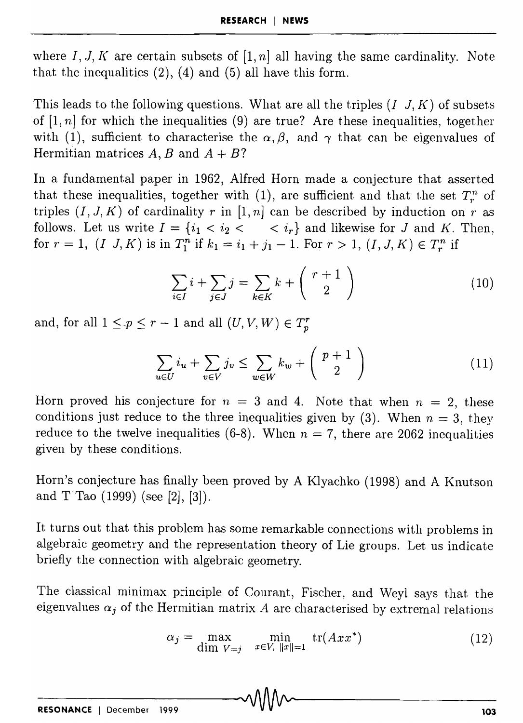where  $I, J, K$  are certain subsets of  $[1, n]$  all having the same cardinality. Note that the inequalities  $(2)$ ,  $(4)$  and  $(5)$  all have this form.

This leads to the following questions. What are all the triples  $(I, J, K)$  of subsets of  $[1, n]$  for which the inequalities  $(9)$  are true? Are these inequalities, together with (1), sufficient to characterise the  $\alpha, \beta$ , and  $\gamma$  that can be eigenvalues of Hermitian matrices  $A, B$  and  $A + B$ ?

In a fundamental paper in 1962, Alfred Horn made a conjecture that asserted that these inequalities, together with (1), are sufficient and that the set  $T_r^n$  of triples  $(I, J, K)$  of cardinality *r* in  $[1, n]$  can be described by induction on *r* as follows. Let us write  $I = \{i_1 < i_2 < \cdots < i_r\}$  and likewise for J and K. Then, for  $r = 1$ ,  $(I, J, K)$  is in  $T_1^n$  if  $k_1 = i_1 + j_1 - 1$ . For  $r > 1$ ,  $(I, J, K) \in T_r^n$  if

$$
\sum_{i \in I} i + \sum_{j \in J} j = \sum_{k \in K} k + \binom{r+1}{2} \tag{10}
$$

and, for all  $1 \leq p \leq r - 1$  and all  $(U, V, W) \in T_p^r$ 

$$
\sum_{u \in U} i_u + \sum_{v \in V} j_v \le \sum_{w \in W} k_w + \binom{p+1}{2} \tag{11}
$$

Horn proved his conjecture for  $n = 3$  and 4. Note that when  $n = 2$ , these conditions just reduce to the three inequalities given by  $(3)$ . When  $n = 3$ , they reduce to the twelve inequalities  $(6-8)$ . When  $n = 7$ , there are 2062 inequalities given by these conditions.

Horn's conjecture has finally been proved by A Klyachko (1998) and A Knutson and T Tao  $(1999)$  (see [2], [3]).

It turns out that this problem has some remarkable connections with problems in algebraic geometry and the representation theory of Lie groups. Let us indicate briefly the connection with algebraic geometry.

The classical minimax principle of Courant, Fischer, and Weyl says that the eigenvalues  $\alpha_j$  of the Hermitian matrix  $A$  are characterised by extremal relations

$$
\alpha_j = \max_{\text{dim } V = j} \quad \min_{x \in V, \ \|x\| = 1} \text{tr}(A x x^*)
$$
 (12)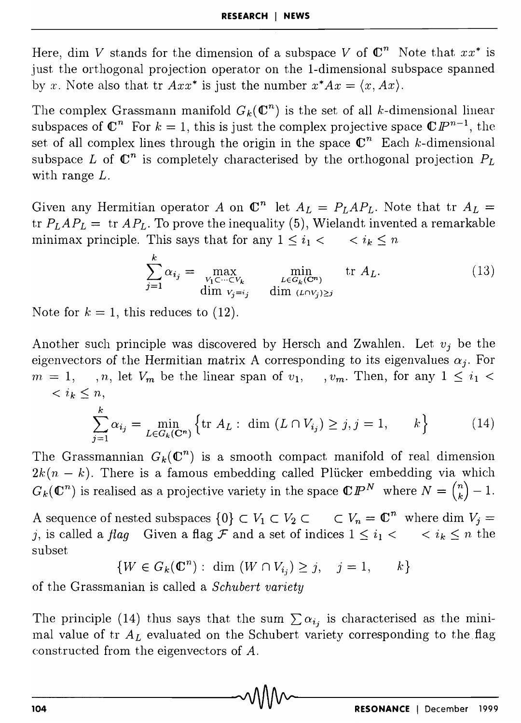Here, dim *V* stands for the dimension of a subspace *V* of  $\mathbb{C}^n$  Note that  $xx^*$  is just the orthogonal projection operator on the I-dimensional subspace spanned by x. Note also that tr  $Axx^*$  is just the number  $x^*Ax = \langle x, Ax \rangle$ .

The complex Grassmann manifold  $G_k(\mathbb{C}^n)$  is the set of all k-dimensional linear subspaces of  $\mathbb{C}^n$  For  $k = 1$ , this is just the complex projective space  $\mathbb{C}P^{n-1}$ , the set of all complex lines through the origin in the space  $\mathbb{C}^n$  Each k-dimensional subspace L of  $\mathbb{C}^n$  is completely characterised by the orthogonal projection  $P_L$ with range L.

Given any Hermitian operator A on  $\mathbb{C}^n$  let  $A_L = P_L A P_L$ . Note that tr  $A_L =$ tr  $P_LAP_L =$  tr  $AP_L$ . To prove the inequality (5), Wielandt invented a remarkable minimax principle. This says that for any  $1 \leq i_1 < \cdots < i_k \leq n$ 

$$
\sum_{j=1}^{k} \alpha_{i_j} = \max_{\substack{V_1 \subset \dots \subset V_k \\ \text{dim } V_j = i_j}} \min_{\substack{L \in G_k(\mathbb{C}^n) \\ \text{dim } (L \cap V_j) \ge j}} \text{tr } A_L. \tag{13}
$$

Note for  $k = 1$ , this reduces to  $(12)$ .

Another such principle was discovered by Hersch and Zwahlen. Let  $v_i$  be the eigenvectors of the Hermitian matrix A corresponding to its eigenvalues  $\alpha_i$ . For  $m = 1, \dots, n$ , let  $V_m$  be the linear span of  $v_1, \dots, v_m$ . Then, for any  $1 \leq i_1$ *,* 

$$
\sum_{j=1}^{k} \alpha_{i_j} = \min_{L \in G_k(\mathbf{C}^n)} \left\{ \text{tr } A_L : \text{ dim } (L \cap V_{i_j}) \ge j, j = 1, \dots, k \right\} \tag{14}
$$

The Grassmannian  $G_k(\mathbb{C}^n)$  is a smooth compact manifold of real dimension  $2k(n - k)$ . There is a famous embedding called Plucker embedding via which  $G_k(\mathbb{C}^n)$  is realised as a projective variety in the space  $\mathbb{C}P^N$  where  $N = \binom{n}{k} - 1$ .

A sequence of nested subspaces  $\{0\} \subset V_1 \subset V_2 \subset \cdots \subset V_n = \mathbb{C}^n$  where dim  $V_i =$ j, is called a *flag* Given a flag F and a set of indices  $1 \leq i_1 < \cdots < i_k \leq n$  the subset

$$
\{W \in G_k(\mathbb{C}^n) : \dim (W \cap V_{i_j}) \ge j, \quad j = 1, \qquad k\}
$$

of the Grassmanian is called a *Schubert variety* 

The principle (14) thus says that the sum  $\sum \alpha_{i_j}$  is characterised as the minimal value of tr  $A_L$  evaluated on the Schubert variety corresponding to the flag constructed from the eigenvectors of A.